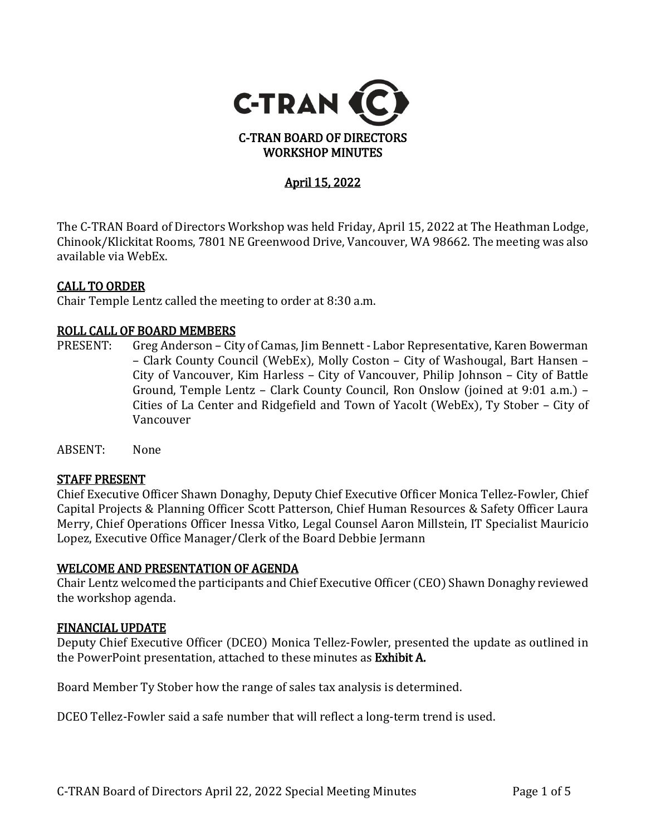

# April 15, 2022

The C-TRAN Board of Directors Workshop was held Friday, April 15, 2022 at The Heathman Lodge, Chinook/Klickitat Rooms, 7801 NE Greenwood Drive, Vancouver, WA 98662. The meeting was also available via WebEx.

### CALL TO ORDER

Chair Temple Lentz called the meeting to order at 8:30 a.m.

# **ROLL CALL OF BOARD MEMBERS**<br>PRESENT: Greg Anderson – Cit

- Greg Anderson City of Camas, Jim Bennett Labor Representative, Karen Bowerman – Clark County Council (WebEx), Molly Coston – City of Washougal, Bart Hansen – City of Vancouver, Kim Harless – City of Vancouver, Philip Johnson – City of Battle Ground, Temple Lentz – Clark County Council, Ron Onslow (joined at 9:01 a.m.) – Cities of La Center and Ridgefield and Town of Yacolt (WebEx), Ty Stober – City of Vancouver
- ABSENT: None

#### STAFF PRESENT

Chief Executive Officer Shawn Donaghy, Deputy Chief Executive Officer Monica Tellez-Fowler, Chief Capital Projects & Planning Officer Scott Patterson, Chief Human Resources & Safety Officer Laura Merry, Chief Operations Officer Inessa Vitko, Legal Counsel Aaron Millstein, IT Specialist Mauricio Lopez, Executive Office Manager/Clerk of the Board Debbie Jermann

#### WELCOME AND PRESENTATION OF AGENDA

Chair Lentz welcomed the participants and Chief Executive Officer (CEO) Shawn Donaghy reviewed the workshop agenda.

#### FINANCIAL UPDATE

Deputy Chief Executive Officer (DCEO) Monica Tellez-Fowler, presented the update as outlined in the PowerPoint presentation, attached to these minutes as Exhibit A.

Board Member Ty Stober how the range of sales tax analysis is determined.

DCEO Tellez-Fowler said a safe number that will reflect a long-term trend is used.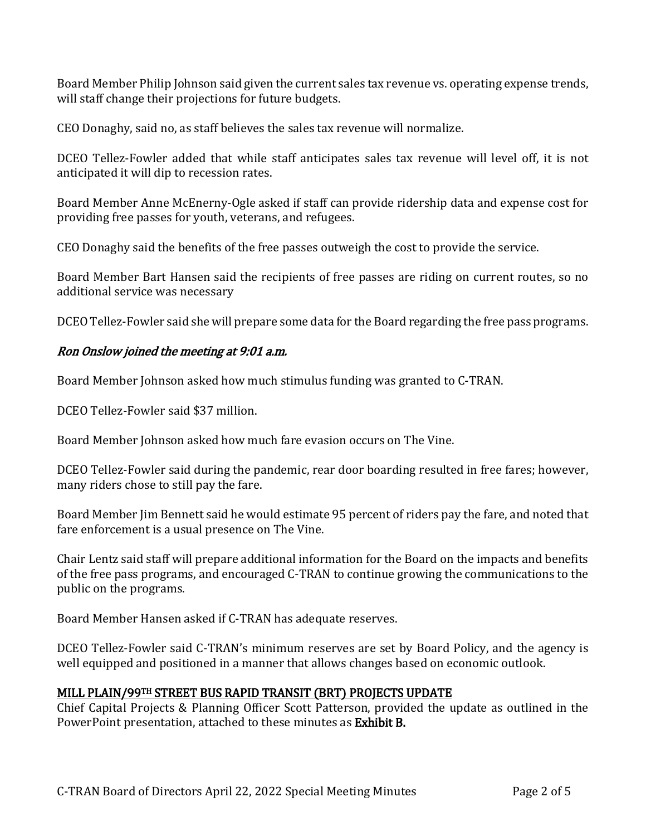Board Member Philip Johnson said given the current sales tax revenue vs. operating expense trends, will staff change their projections for future budgets.

CEO Donaghy, said no, as staff believes the sales tax revenue will normalize.

DCEO Tellez-Fowler added that while staff anticipates sales tax revenue will level off, it is not anticipated it will dip to recession rates.

Board Member Anne McEnerny-Ogle asked if staff can provide ridership data and expense cost for providing free passes for youth, veterans, and refugees.

CEO Donaghy said the benefits of the free passes outweigh the cost to provide the service.

Board Member Bart Hansen said the recipients of free passes are riding on current routes, so no additional service was necessary

DCEO Tellez-Fowler said she will prepare some data for the Board regarding the free pass programs.

## Ron Onslow joined the meeting at 9:01 a.m.

Board Member Johnson asked how much stimulus funding was granted to C-TRAN.

DCEO Tellez-Fowler said \$37 million.

Board Member Johnson asked how much fare evasion occurs on The Vine.

DCEO Tellez-Fowler said during the pandemic, rear door boarding resulted in free fares; however, many riders chose to still pay the fare.

Board Member Jim Bennett said he would estimate 95 percent of riders pay the fare, and noted that fare enforcement is a usual presence on The Vine.

Chair Lentz said staff will prepare additional information for the Board on the impacts and benefits of the free pass programs, and encouraged C-TRAN to continue growing the communications to the public on the programs.

Board Member Hansen asked if C-TRAN has adequate reserves.

DCEO Tellez-Fowler said C-TRAN's minimum reserves are set by Board Policy, and the agency is well equipped and positioned in a manner that allows changes based on economic outlook.

## MILL PLAIN/99TH STREET BUS RAPID TRANSIT (BRT) PROJECTS UPDATE

Chief Capital Projects & Planning Officer Scott Patterson, provided the update as outlined in the PowerPoint presentation, attached to these minutes as Exhibit B.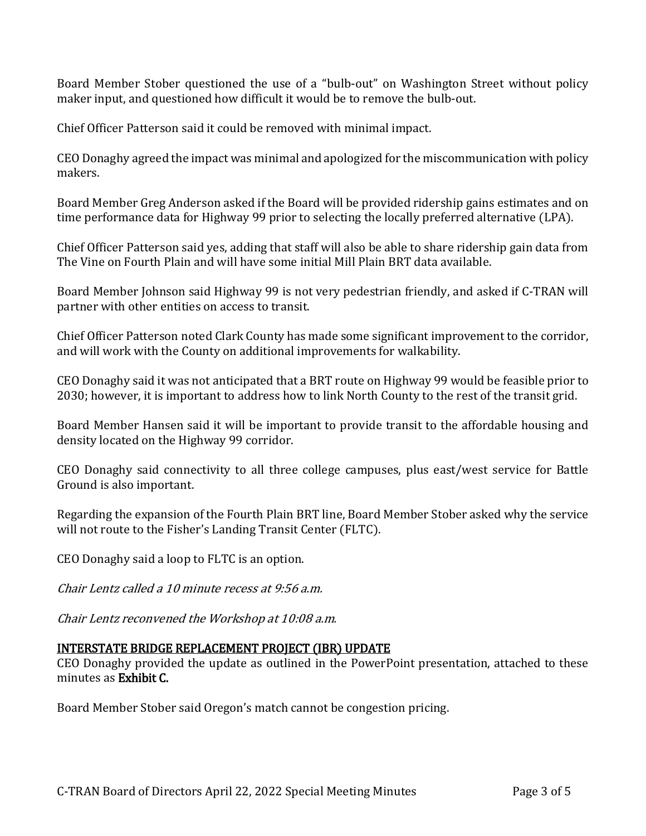Board Member Stober questioned the use of a "bulb-out" on Washington Street without policy maker input, and questioned how difficult it would be to remove the bulb-out.

Chief Officer Patterson said it could be removed with minimal impact.

CEO Donaghy agreed the impact was minimal and apologized for the miscommunication with policy makers.

Board Member Greg Anderson asked if the Board will be provided ridership gains estimates and on time performance data for Highway 99 prior to selecting the locally preferred alternative (LPA).

Chief Officer Patterson said yes, adding that staff will also be able to share ridership gain data from The Vine on Fourth Plain and will have some initial Mill Plain BRT data available.

Board Member Johnson said Highway 99 is not very pedestrian friendly, and asked if C-TRAN will partner with other entities on access to transit.

Chief Officer Patterson noted Clark County has made some significant improvement to the corridor, and will work with the County on additional improvements for walkability.

CEO Donaghy said it was not anticipated that a BRT route on Highway 99 would be feasible prior to 2030; however, it is important to address how to link North County to the rest of the transit grid.

Board Member Hansen said it will be important to provide transit to the affordable housing and density located on the Highway 99 corridor.

CEO Donaghy said connectivity to all three college campuses, plus east/west service for Battle Ground is also important.

Regarding the expansion of the Fourth Plain BRT line, Board Member Stober asked why the service will not route to the Fisher's Landing Transit Center (FLTC).

CEO Donaghy said a loop to FLTC is an option.

Chair Lentz called a 10 minute recess at 9:56 a.m.

Chair Lentz reconvened the Workshop at 10:08 a.m.

## INTERSTATE BRIDGE REPLACEMENT PROJECT (IBR) UPDATE

CEO Donaghy provided the update as outlined in the PowerPoint presentation, attached to these minutes as Exhibit C.

Board Member Stober said Oregon's match cannot be congestion pricing.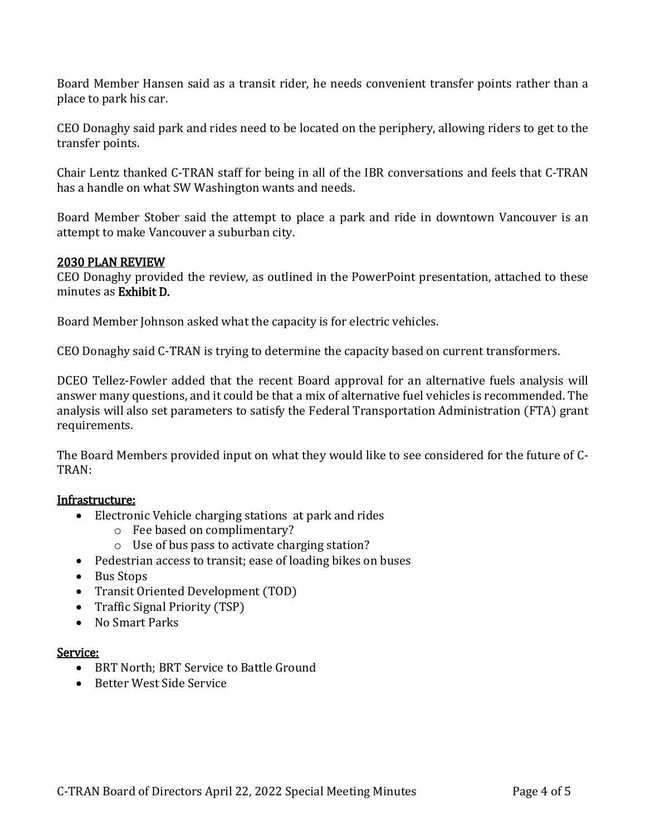Board Member Hansen said as a transit rider, he needs convenient transfer points rather than a place to park his car.

CEO Donaghy said park and rides need to be located on the periphery, allowing riders to get to the transfer points.

Chair Lentz thanked C-TRAN staff for being in all of the IBR conversations and feels that C-TRAN has a handle on what SW Washington wants and needs.

Board Member Stober said the attempt to place a park and ride in downtown Vancouver is an attempt to make Vancouver a suburban city.

### 2030 PLAN REVIEW

CEO Donaghy provided the review, as outlined in the PowerPoint presentation, attached to these minutes as Exhibit D.

Board Member Johnson asked what the capacity is for electric vehicles.

CEO Donaghy said C-TRAN is trying to determine the capacity based on current transformers.

DCEO Tellez-Fowler added that the recent Board approval for an alternative fuels analysis will answer many questions, and it could be that a mix of alternative fuel vehicles is recommended. The analysis will also set parameters to satisfy the Federal Transportation Administration (FTA) grant requirements.

The Board Members provided input on what they would like to see considered for the future of C-TRAN:

#### Infrastructure:

- Electronic Vehicle charging stations at park and rides
	- o Fee based on complimentary?
	- o Use of bus pass to activate charging station?
- Pedestrian access to transit; ease of loading bikes on buses
- Bus Stops
- Transit Oriented Development (TOD)
- Traffic Signal Priority (TSP)
- No Smart Parks

## <u>Service:</u>

- BRT North; BRT Service to Battle Ground
- Better West Side Service